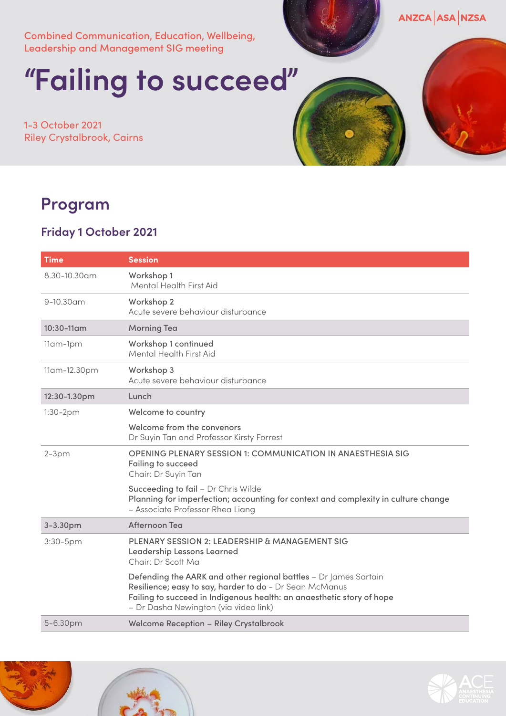Combined Communication, Education, Wellbeing, Leadership and Management SIG meeting

# **"Failing to succeed"**

1-3 October 2021 Riley Crystalbrook, Cairns

### ANZCA ASA NZSA

## **Program**

#### **Friday 1 October 2021**

| <b>Time</b>     | <b>Session</b>                                                                                                                                                                                                                                |
|-----------------|-----------------------------------------------------------------------------------------------------------------------------------------------------------------------------------------------------------------------------------------------|
| 8.30-10.30am    | Workshop 1<br>Mental Health First Aid                                                                                                                                                                                                         |
| $9-10.30$ am    | Workshop 2<br>Acute severe behaviour disturbance                                                                                                                                                                                              |
| $10:30 - 11$ am | <b>Morning Tea</b>                                                                                                                                                                                                                            |
| 11am-1pm        | Workshop 1 continued<br>Mental Health First Aid                                                                                                                                                                                               |
| 11am-12.30pm    | Workshop 3<br>Acute severe behaviour disturbance                                                                                                                                                                                              |
| 12:30-1.30pm    | Lunch                                                                                                                                                                                                                                         |
| 1:30-2pm        | Welcome to country                                                                                                                                                                                                                            |
|                 | Welcome from the convenors<br>Dr Suyin Tan and Professor Kirsty Forrest                                                                                                                                                                       |
| $2-3pm$         | <b>OPENING PLENARY SESSION 1: COMMUNICATION IN ANAESTHESIA SIG</b><br>Failing to succeed<br>Chair: Dr Suyin Tan                                                                                                                               |
|                 | Succeeding to fail - Dr Chris Wilde<br>Planning for imperfection; accounting for context and complexity in culture change<br>- Associate Professor Rhea Liang                                                                                 |
| 3-3.30pm        | Afternoon Tea                                                                                                                                                                                                                                 |
| 3:30-5pm        | PLENARY SESSION 2: LEADERSHIP & MANAGEMENT SIG<br>Leadership Lessons Learned<br>Chair: Dr Scott Ma                                                                                                                                            |
|                 | Defending the AARK and other regional battles - Dr James Sartain<br>Resilience; easy to say, harder to do - Dr Sean McManus<br>Failing to succeed in Indigenous health: an anaesthetic story of hope<br>- Dr Dasha Newington (via video link) |
| 5-6.30pm        | <b>Welcome Reception - Riley Crystalbrook</b>                                                                                                                                                                                                 |



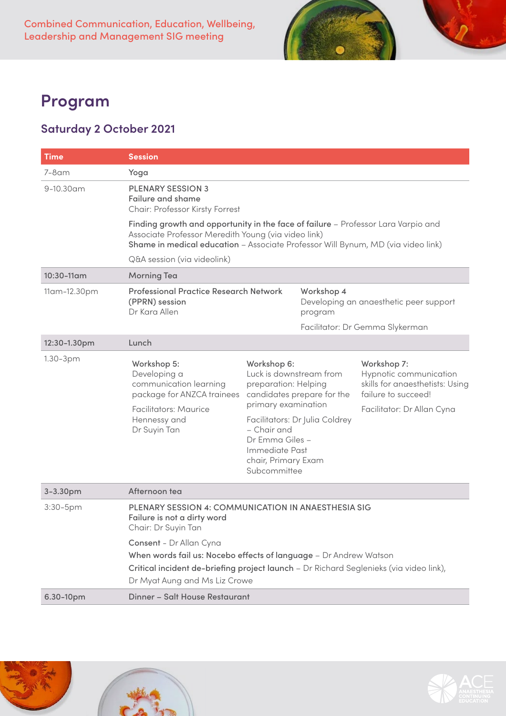

## **Program**

#### **Saturday 2 October 2021**

| <b>Time</b>  | <b>Session</b>                                                                                                                                                                                                               |                                                                                                                                                                                  |                                                              |                                                                                                                               |  |
|--------------|------------------------------------------------------------------------------------------------------------------------------------------------------------------------------------------------------------------------------|----------------------------------------------------------------------------------------------------------------------------------------------------------------------------------|--------------------------------------------------------------|-------------------------------------------------------------------------------------------------------------------------------|--|
| $7-8$ am     | Yoga                                                                                                                                                                                                                         |                                                                                                                                                                                  |                                                              |                                                                                                                               |  |
| 9-10.30am    | <b>PLENARY SESSION 3</b><br><b>Failure and shame</b><br>Chair: Professor Kirsty Forrest                                                                                                                                      |                                                                                                                                                                                  |                                                              |                                                                                                                               |  |
|              | Finding growth and opportunity in the face of failure - Professor Lara Varpio and<br>Associate Professor Meredith Young (via video link)<br>Shame in medical education - Associate Professor Will Bynum, MD (via video link) |                                                                                                                                                                                  |                                                              |                                                                                                                               |  |
|              | Q&A session (via videolink)                                                                                                                                                                                                  |                                                                                                                                                                                  |                                                              |                                                                                                                               |  |
| 10:30-11am   | <b>Morning Tea</b>                                                                                                                                                                                                           |                                                                                                                                                                                  |                                                              |                                                                                                                               |  |
| 11am-12.30pm | <b>Professional Practice Research Network</b><br>(PPRN) session<br>Dr Kara Allen                                                                                                                                             |                                                                                                                                                                                  | Workshop 4<br>program                                        | Developing an anaesthetic peer support                                                                                        |  |
|              |                                                                                                                                                                                                                              |                                                                                                                                                                                  |                                                              | Facilitator: Dr Gemma Slykerman                                                                                               |  |
| 12:30-1.30pm | Lunch                                                                                                                                                                                                                        |                                                                                                                                                                                  |                                                              |                                                                                                                               |  |
| $1.30-3pm$   | Workshop 5:<br>Developing a<br>communication learning<br>package for ANZCA trainees<br>Facilitators: Maurice<br>Hennessy and<br>Dr Suyin Tan                                                                                 | Workshop 6:<br>Luck is downstream from<br>preparation: Helping<br>primary examination<br>- Chair and<br>Dr Emma Giles -<br>Immediate Past<br>chair, Primary Exam<br>Subcommittee | candidates prepare for the<br>Facilitators: Dr Julia Coldrey | Workshop 7:<br>Hypnotic communication<br>skills for anaesthetists: Using<br>failure to succeed!<br>Facilitator: Dr Allan Cyna |  |
| 3-3.30pm     | Afternoon tea                                                                                                                                                                                                                |                                                                                                                                                                                  |                                                              |                                                                                                                               |  |
| 3:30-5pm     | PLENARY SESSION 4: COMMUNICATION IN ANAESTHESIA SIG<br>Failure is not a dirty word<br>Chair: Dr Suyin Tan                                                                                                                    |                                                                                                                                                                                  |                                                              |                                                                                                                               |  |
|              | Consent - Dr Allan Cyna<br>When words fail us: Nocebo effects of language - Dr Andrew Watson<br>Critical incident de-briefing project launch - Dr Richard Seglenieks (via video link),<br>Dr Myat Aung and Ms Liz Crowe      |                                                                                                                                                                                  |                                                              |                                                                                                                               |  |
| 6.30-10pm    | Dinner - Salt House Restaurant                                                                                                                                                                                               |                                                                                                                                                                                  |                                                              |                                                                                                                               |  |